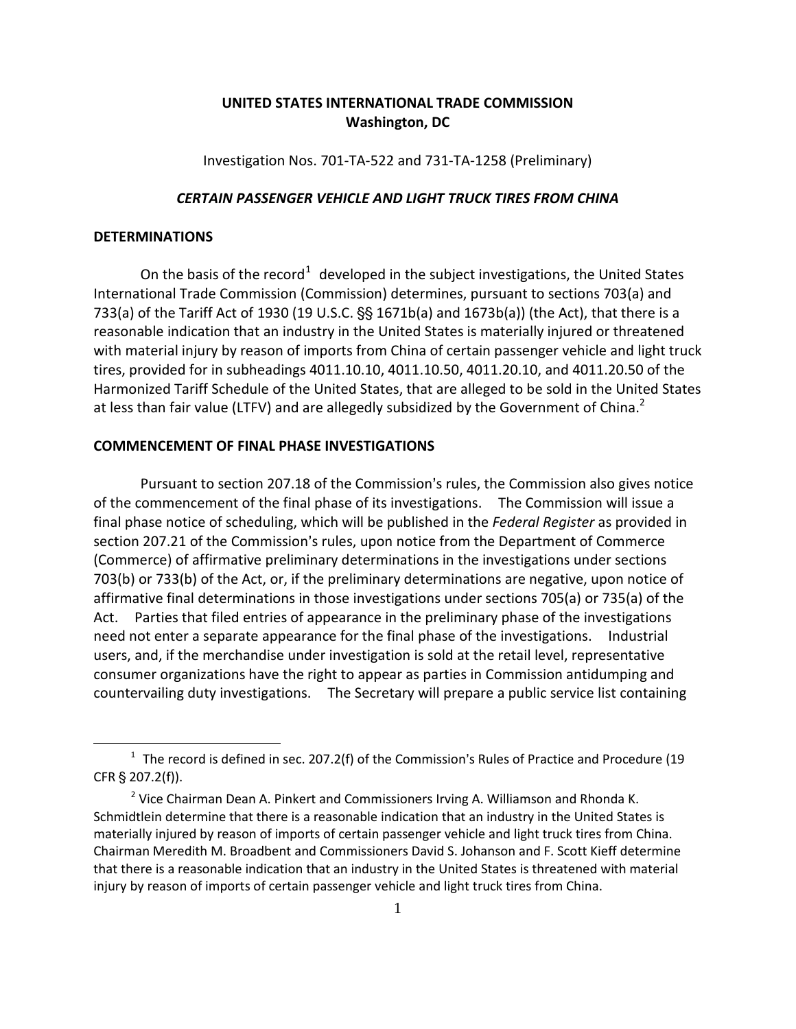# **UNITED STATES INTERNATIONAL TRADE COMMISSION Washington, DC**

Investigation Nos. 701-TA-522 and 731-TA-1258 (Preliminary)

#### *CERTAIN PASSENGER VEHICLE AND LIGHT TRUCK TIRES FROM CHINA*

## **DETERMINATIONS**

 $\overline{a}$ 

On the basis of the record<sup>[1](#page-0-0)</sup> developed in the subject investigations, the United States International Trade Commission (Commission) determines, pursuant to sections 703(a) and 733(a) of the Tariff Act of 1930 (19 U.S.C.  $\S$  1671b(a) and 1673b(a)) (the Act), that there is a reasonable indication that an industry in the United States is materially injured or threatened with material injury by reason of imports from China of certain passenger vehicle and light truck tires, provided for in subheadings 4011.10.10, 4011.10.50, 4011.20.10, and 4011.20.50 of the Harmonized Tariff Schedule of the United States, that are alleged to be sold in the United States at less than fair value (LTFV) and are allegedly subsidized by the Government of China.<sup>2</sup>

#### **COMMENCEMENT OF FINAL PHASE INVESTIGATIONS**

Pursuant to section 207.18 of the Commission's rules, the Commission also gives notice of the commencement of the final phase of its investigations. The Commission will issue a final phase notice of scheduling, which will be published in the *Federal Register* as provided in section 207.21 of the Commission's rules, upon notice from the Department of Commerce (Commerce) of affirmative preliminary determinations in the investigations under sections 703(b) or 733(b) of the Act, or, if the preliminary determinations are negative, upon notice of affirmative final determinations in those investigations under sections 705(a) or 735(a) of the Act. Parties that filed entries of appearance in the preliminary phase of the investigations need not enter a separate appearance for the final phase of the investigations. Industrial users, and, if the merchandise under investigation is sold at the retail level, representative consumer organizations have the right to appear as parties in Commission antidumping and countervailing duty investigations. The Secretary will prepare a public service list containing

<span id="page-0-0"></span> $1$  The record is defined in sec. 207.2(f) of the Commission's Rules of Practice and Procedure (19 CFR  $\S$  207.2(f)).

 $2$  Vice Chairman Dean A. Pinkert and Commissioners Irving A. Williamson and Rhonda K. Schmidtlein determine that there is a reasonable indication that an industry in the United States is materially injured by reason of imports of certain passenger vehicle and light truck tires from China. Chairman Meredith M. Broadbent and Commissioners David S. Johanson and F. Scott Kieff determine that there is a reasonable indication that an industry in the United States is threatened with material injury by reason of imports of certain passenger vehicle and light truck tires from China.